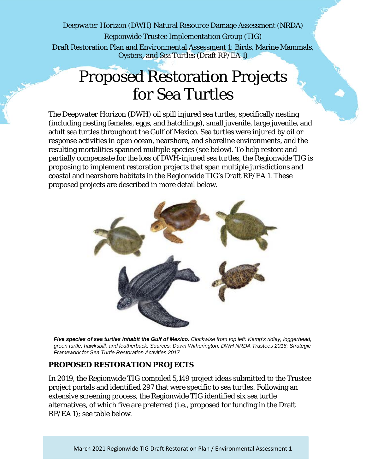*Deepwater Horizon* (DWH) Natural Resource Damage Assessment (NRDA) Regionwide Trustee Implementation Group (TIG) Draft Restoration Plan and Environmental Assessment 1: Birds, Marine Mammals, Oysters, and Sea Turtles (Draft RP/EA 1)

# Proposed Restoration Projects for Sea Turtles

The *Deepwater Horizon* (DWH) oil spill injured sea turtles, specifically nesting (including nesting females, eggs, and hatchlings), small juvenile, large juvenile, and adult sea turtles throughout the Gulf of Mexico. Sea turtles were injured by oil or response activities in open ocean, nearshore, and shoreline environments, and the resulting mortalities spanned multiple species (see below). To help restore and partially compensate for the loss of DWH-injured sea turtles, the Regionwide TIG is proposing to implement restoration projects that span multiple jurisdictions and coastal and nearshore habitats in the Regionwide TIG's Draft RP/EA 1. These proposed projects are described in more detail below.



*Five species of sea turtles inhabit the Gulf of Mexico. Clockwise from top left: Kemp's ridley, loggerhead, green turtle, hawksbill, and leatherback. Sources: Dawn Witherington; DWH NRDA Trustees 2016; Strategic Framework for Sea Turtle Restoration Activities 2017*

### **PROPOSED RESTORATION PROJECTS**

In 2019, the Regionwide TIG compiled 5,149 project ideas submitted to the Trustee project portals and identified 297 that were specific to sea turtles. Following an extensive screening process, the Regionwide TIG identified six sea turtle alternatives, of which five are preferred (i.e., proposed for funding in the Draft RP/EA 1); see table below.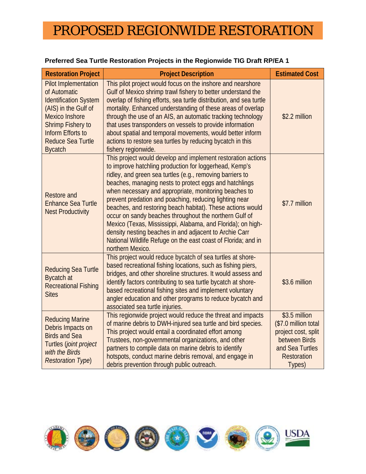## PROPOSED REGIONWIDE RESTORATION

| <b>Restoration Project</b>                                                                                                                                                                                                  | <b>Project Description</b>                                                                                                                                                                                                                                                                                                                                                                                                                                                                                                                                                                                                                                                                             | <b>Estimated Cost</b>                                                                                                            |
|-----------------------------------------------------------------------------------------------------------------------------------------------------------------------------------------------------------------------------|--------------------------------------------------------------------------------------------------------------------------------------------------------------------------------------------------------------------------------------------------------------------------------------------------------------------------------------------------------------------------------------------------------------------------------------------------------------------------------------------------------------------------------------------------------------------------------------------------------------------------------------------------------------------------------------------------------|----------------------------------------------------------------------------------------------------------------------------------|
| <b>Pilot Implementation</b><br>of Automatic<br><b>Identification System</b><br>(AIS) in the Gulf of<br><b>Mexico Inshore</b><br><b>Shrimp Fishery to</b><br>Inform Efforts to<br><b>Reduce Sea Turtle</b><br><b>Bycatch</b> | This pilot project would focus on the inshore and nearshore<br>Gulf of Mexico shrimp trawl fishery to better understand the<br>overlap of fishing efforts, sea turtle distribution, and sea turtle<br>mortality. Enhanced understanding of these areas of overlap<br>through the use of an AIS, an automatic tracking technology<br>that uses transponders on vessels to provide information<br>about spatial and temporal movements, would better inform<br>actions to restore sea turtles by reducing bycatch in this<br>fishery regionwide.                                                                                                                                                         | \$2.2 million                                                                                                                    |
| <b>Restore and</b><br><b>Enhance Sea Turtle</b><br><b>Nest Productivity</b>                                                                                                                                                 | This project would develop and implement restoration actions<br>to improve hatchling production for loggerhead, Kemp's<br>ridley, and green sea turtles (e.g., removing barriers to<br>beaches, managing nests to protect eggs and hatchlings<br>when necessary and appropriate, monitoring beaches to<br>prevent predation and poaching, reducing lighting near<br>beaches, and restoring beach habitat). These actions would<br>occur on sandy beaches throughout the northern Gulf of<br>Mexico (Texas, Mississippi, Alabama, and Florida); on high-<br>density nesting beaches in and adjacent to Archie Carr<br>National Wildlife Refuge on the east coast of Florida; and in<br>northern Mexico. | \$7.7 million                                                                                                                    |
| <b>Reducing Sea Turtle</b><br><b>Bycatch at</b><br><b>Recreational Fishing</b><br><b>Sites</b>                                                                                                                              | This project would reduce bycatch of sea turtles at shore-<br>based recreational fishing locations, such as fishing piers,<br>bridges, and other shoreline structures. It would assess and<br>identify factors contributing to sea turtle bycatch at shore-<br>based recreational fishing sites and implement voluntary<br>angler education and other programs to reduce bycatch and<br>associated sea turtle injuries.                                                                                                                                                                                                                                                                                | \$3.6 million                                                                                                                    |
| <b>Reducing Marine</b><br>Debris Impacts on<br><b>Birds and Sea</b><br>Turtles (joint project<br>with the Birds<br><b>Restoration Type)</b>                                                                                 | This regionwide project would reduce the threat and impacts<br>of marine debris to DWH-injured sea turtle and bird species.<br>This project would entail a coordinated effort among<br>Trustees, non-governmental organizations, and other<br>partners to compile data on marine debris to identify<br>hotspots, conduct marine debris removal, and engage in<br>debris prevention through public outreach.                                                                                                                                                                                                                                                                                            | \$3.5 million<br>(\$7.0 million total<br>project cost, split<br>between Birds<br>and Sea Turtles<br><b>Restoration</b><br>Types) |

### **Preferred Sea Turtle Restoration Projects in the Regionwide TIG Draft RP/EA 1**